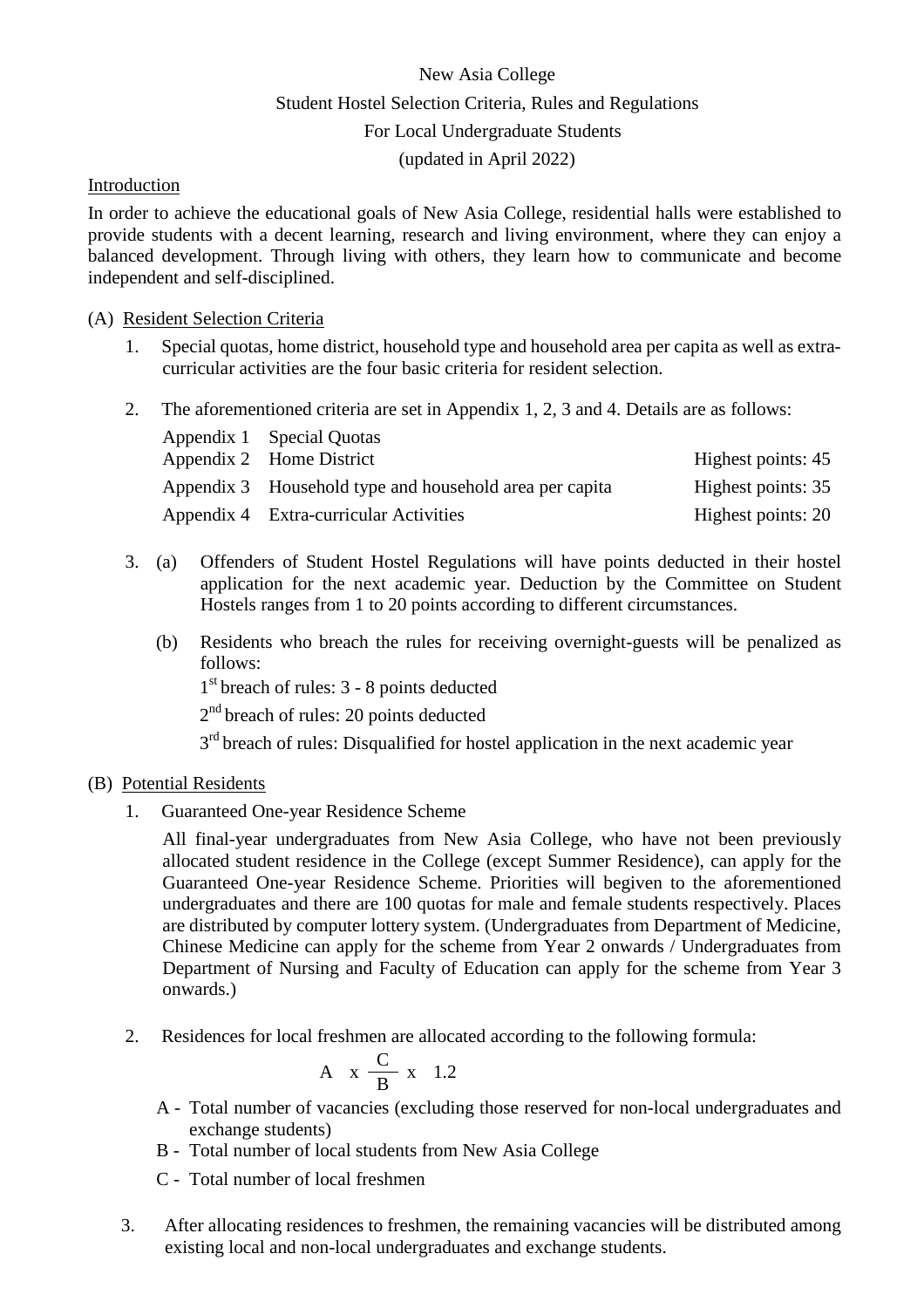# New Asia College Student Hostel Selection Criteria, Rules and Regulations For Local Undergraduate Students (updated in April 2022)

### Introduction

In order to achieve the educational goals of New Asia College, residential halls were established to provide students with a decent learning, research and living environment, where they can enjoy a balanced development. Through living with others, they learn how to communicate and become independent and self-disciplined.

#### (A) Resident Selection Criteria

- 1. Special quotas, home district, household type and household area per capita as well as extracurricular activities are the four basic criteria for resident selection.
- 2. The aforementioned criteria are set in Appendix 1, 2, 3 and 4. Details are as follows:

| Appendix 1 Special Quotas                               |                    |
|---------------------------------------------------------|--------------------|
| Appendix 2 Home District                                | Highest points: 45 |
| Appendix 3 Household type and household area per capita | Highest points: 35 |
| Appendix 4 Extra-curricular Activities                  | Highest points: 20 |

- 3. (a) Offenders of Student Hostel Regulations will have points deducted in their hostel application for the next academic year. Deduction by the Committee on Student Hostels ranges from 1 to 20 points according to different circumstances.
	- (b) Residents who breach the rules for receiving overnight-guests will be penalized as follows:

 $1<sup>st</sup>$  breach of rules: 3 - 8 points deducted

2<sup>nd</sup> breach of rules: 20 points deducted

 $3<sup>rd</sup>$  breach of rules: Disqualified for hostel application in the next academic year

## (B) Potential Residents

1. Guaranteed One-year Residence Scheme

All final-year undergraduates from New Asia College, who have not been previously allocated student residence in the College (except Summer Residence), can apply for the Guaranteed One-year Residence Scheme. Priorities will begiven to the aforementioned undergraduates and there are 100 quotas for male and female students respectively. Places are distributed by computer lottery system. (Undergraduates from Department of Medicine, Chinese Medicine can apply for the scheme from Year 2 onwards / Undergraduates from Department of Nursing and Faculty of Education can apply for the scheme from Year 3 onwards.)

2. Residences for local freshmen are allocated according to the following formula:

$$
A \times \frac{C}{B} \times 1.2
$$

- A Total number of vacancies (excluding those reserved for non-local undergraduates and exchange students)
- B Total number of local students from New Asia College
- C Total number of local freshmen
- 3. After allocating residences to freshmen, the remaining vacancies will be distributed among existing local and non-local undergraduates and exchange students.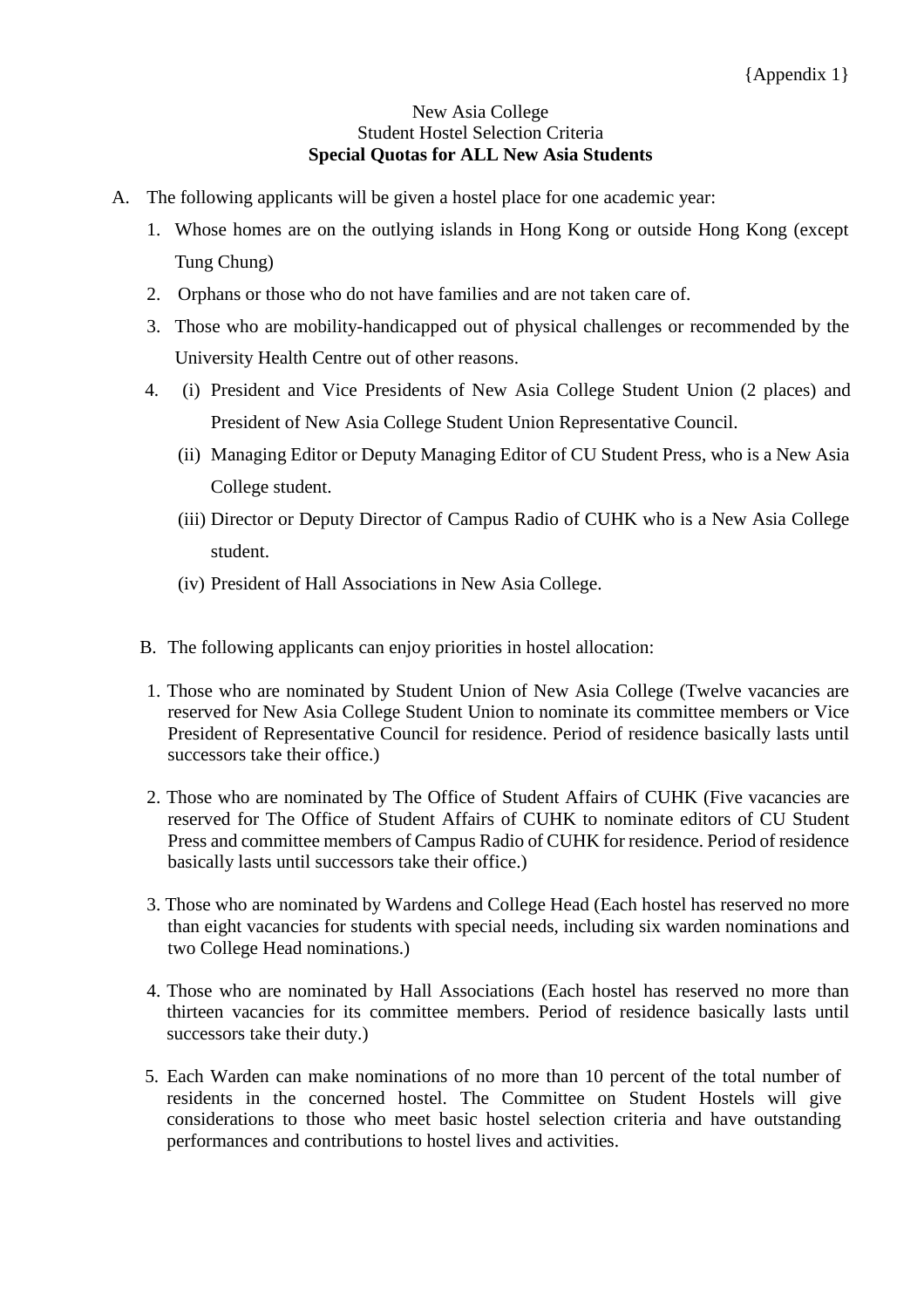#### New Asia College Student Hostel Selection Criteria **Special Quotas for ALL New Asia Students**

- A. The following applicants will be given a hostel place for one academic year:
	- 1. Whose homes are on the outlying islands in Hong Kong or outside Hong Kong (except Tung Chung)
	- 2. Orphans or those who do not have families and are not taken care of.
	- 3. Those who are mobility-handicapped out of physical challenges or recommended by the University Health Centre out of other reasons.
	- 4. (i) President and Vice Presidents of New Asia College Student Union (2 places) and President of New Asia College Student Union Representative Council.
		- (ii) Managing Editor or Deputy Managing Editor of CU Student Press, who is a New Asia College student.
		- (iii) Director or Deputy Director of Campus Radio of CUHK who is a New Asia College student.
		- (iv) President of Hall Associations in New Asia College.
	- B. The following applicants can enjoy priorities in hostel allocation:
	- 1. Those who are nominated by Student Union of New Asia College (Twelve vacancies are reserved for New Asia College Student Union to nominate its committee members or Vice President of Representative Council for residence. Period of residence basically lasts until successors take their office.)
	- 2. Those who are nominated by The Office of Student Affairs of CUHK (Five vacancies are reserved for The Office of Student Affairs of CUHK to nominate editors of CU Student Press and committee members of Campus Radio of CUHK for residence. Period of residence basically lasts until successors take their office.)
	- 3. Those who are nominated by Wardens and College Head (Each hostel has reserved no more than eight vacancies for students with special needs, including six warden nominations and two College Head nominations.)
	- 4. Those who are nominated by Hall Associations (Each hostel has reserved no more than thirteen vacancies for its committee members. Period of residence basically lasts until successors take their duty.)
	- 5. Each Warden can make nominations of no more than 10 percent of the total number of residents in the concerned hostel. The Committee on Student Hostels will give considerations to those who meet basic hostel selection criteria and have outstanding performances and contributions to hostel lives and activities.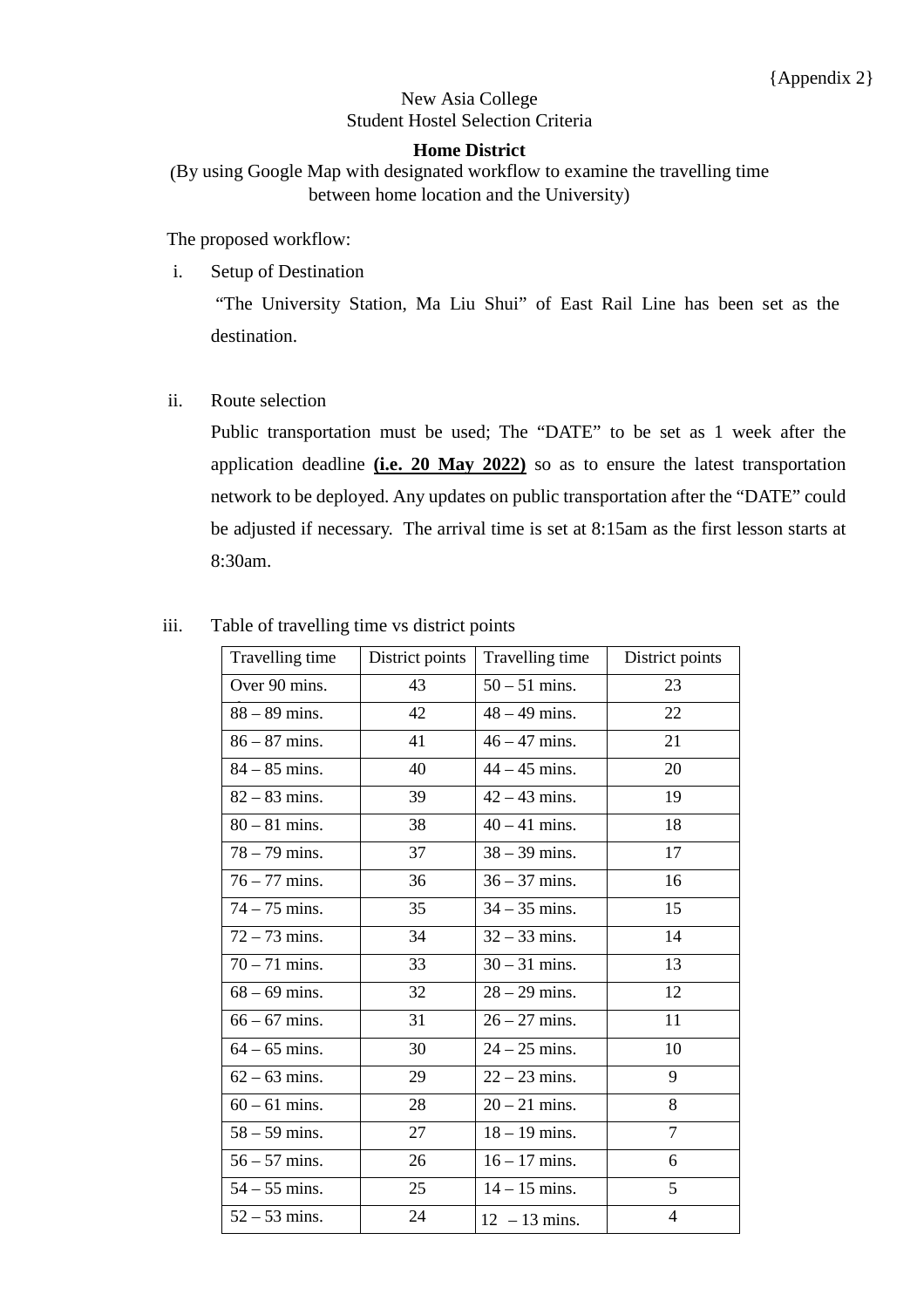## New Asia College Student Hostel Selection Criteria

#### **Home District**

(By using Google Map with designated workflow to examine the travelling time between home location and the University)

The proposed workflow:

i. Setup of Destination

"The University Station, Ma Liu Shui" of East Rail Line has been set as the destination.

ii. Route selection

Public transportation must be used; The "DATE" to be set as 1 week after the application deadline **(i.e. 20 May 2022)** so as to ensure the latest transportation network to be deployed. Any updates on public transportation after the "DATE" could be adjusted if necessary. The arrival time is set at 8:15am as the first lesson starts at 8:30am.

| Travelling time | District points | Travelling time | District points |
|-----------------|-----------------|-----------------|-----------------|
| Over 90 mins.   | 43              | $50 - 51$ mins. | 23              |
| $88 - 89$ mins. | 42              | $48 - 49$ mins. | 22              |
| $86 - 87$ mins. | 41              | $46 - 47$ mins. | 21              |
| $84 - 85$ mins. | 40              | $44 - 45$ mins. | 20              |
| $82 - 83$ mins. | 39              | $42 - 43$ mins. | 19              |
| $80 - 81$ mins. | 38              | $40 - 41$ mins. | 18              |
| $78 - 79$ mins. | 37              | $38 - 39$ mins. | 17              |
| $76 - 77$ mins. | 36              | $36 - 37$ mins. | 16              |
| $74 - 75$ mins. | 35              | $34 - 35$ mins. | 15              |
| $72 - 73$ mins. | 34              | $32 - 33$ mins. | 14              |
| $70 - 71$ mins. | 33              | $30 - 31$ mins. | 13              |
| $68 - 69$ mins. | 32              | $28 - 29$ mins. | 12              |
| $66 - 67$ mins. | 31              | $26 - 27$ mins. | 11              |
| $64 - 65$ mins. | 30              | $24 - 25$ mins. | 10              |
| $62 - 63$ mins. | 29              | $22 - 23$ mins. | 9               |
| $60 - 61$ mins. | 28              | $20 - 21$ mins. | 8               |
| $58 - 59$ mins. | 27              | $18 - 19$ mins. | $\overline{7}$  |
| $56 - 57$ mins. | 26              | $16 - 17$ mins. | 6               |
| $54 - 55$ mins. | 25              | $14 - 15$ mins. | 5               |
| $52 - 53$ mins. | 24              | $12 - 13$ mins. | $\overline{4}$  |

#### iii. Table of travelling time vs district points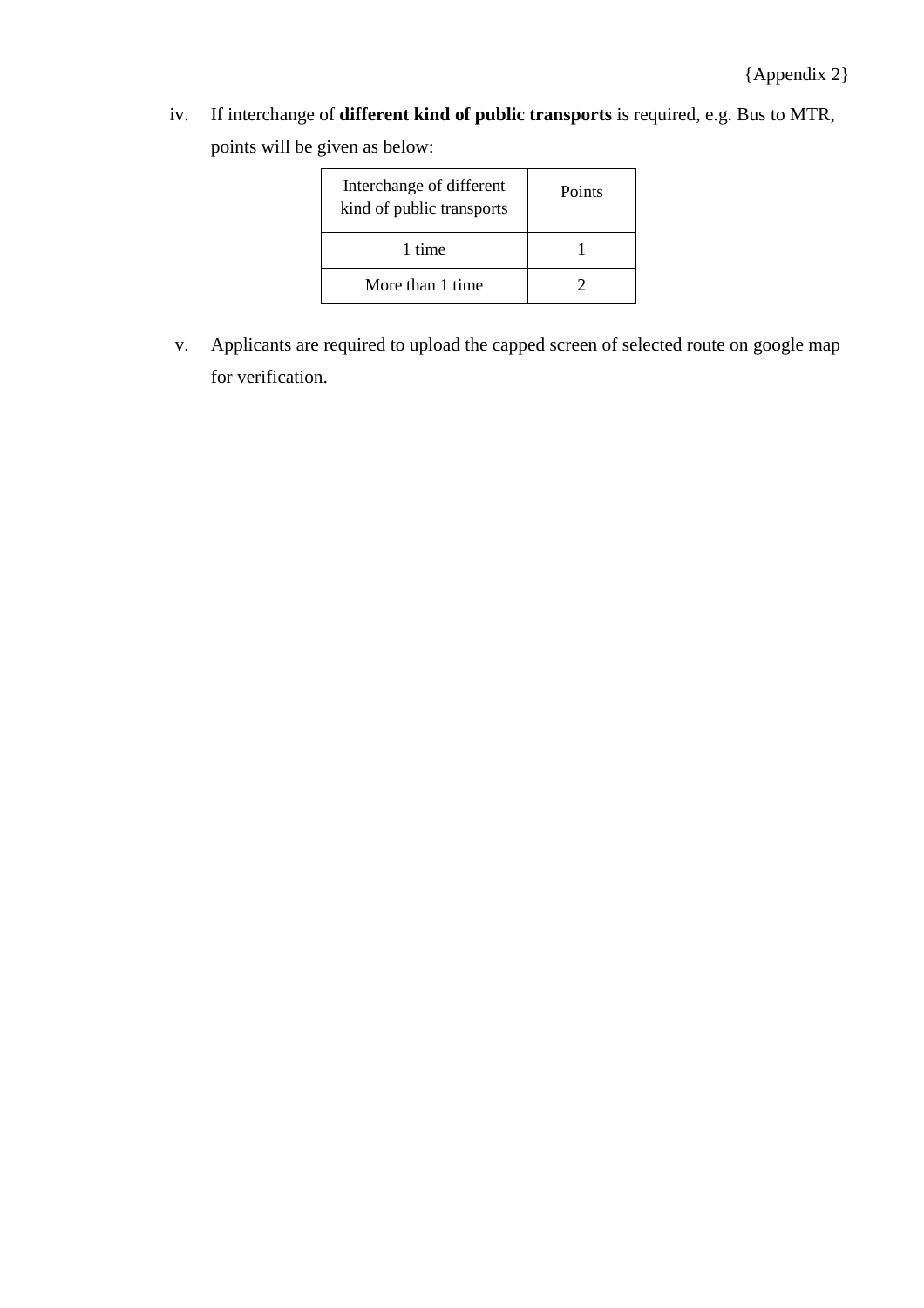iv. If interchange of **different kind of public transports** is required, e.g. Bus to MTR, points will be given as below:

| Interchange of different<br>kind of public transports | Points |
|-------------------------------------------------------|--------|
| 1 time                                                |        |
| More than 1 time                                      |        |

v. Applicants are required to upload the capped screen of selected route on google map for verification.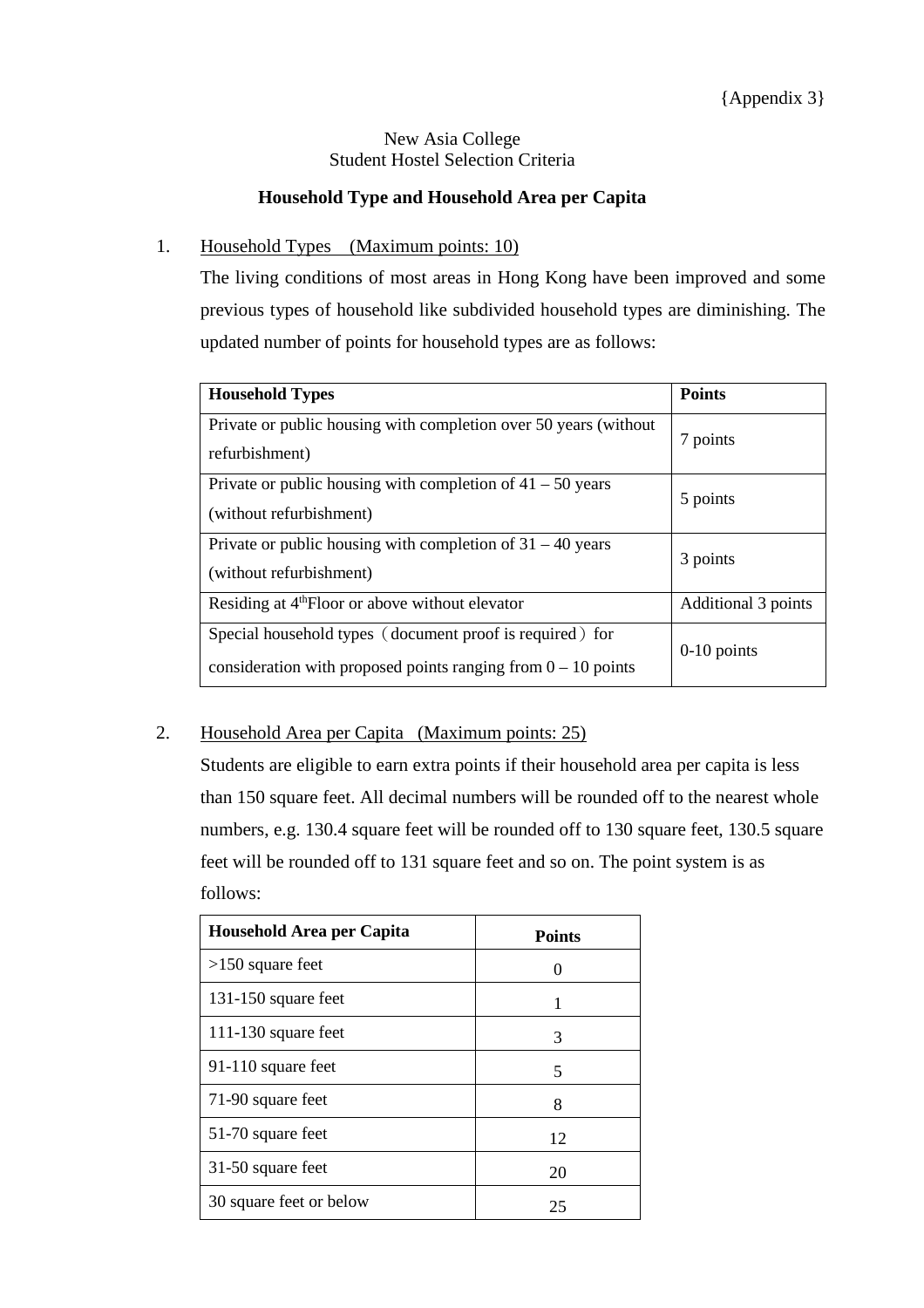## New Asia College Student Hostel Selection Criteria

## **Household Type and Household Area per Capita**

## 1. Household Types (Maximum points: 10)

The living conditions of most areas in Hong Kong have been improved and some previous types of household like subdivided household types are diminishing. The updated number of points for household types are as follows:

| <b>Household Types</b>                                                                                                      | <b>Points</b>       |
|-----------------------------------------------------------------------------------------------------------------------------|---------------------|
| Private or public housing with completion over 50 years (without<br>refurbishment)                                          | 7 points            |
| Private or public housing with completion of $41 - 50$ years<br>(without refurbishment)                                     | 5 points            |
| Private or public housing with completion of $31 - 40$ years<br>(without refurbishment)                                     | 3 points            |
| Residing at 4 <sup>th</sup> Floor or above without elevator                                                                 | Additional 3 points |
| Special household types (document proof is required) for<br>consideration with proposed points ranging from $0 - 10$ points | $0-10$ points       |

## 2. Household Area per Capita (Maximum points: 25)

Students are eligible to earn extra points if their household area per capita is less than 150 square feet. All decimal numbers will be rounded off to the nearest whole numbers, e.g. 130.4 square feet will be rounded off to 130 square feet, 130.5 square feet will be rounded off to 131 square feet and so on. The point system is as follows:

| Household Area per Capita | <b>Points</b>           |
|---------------------------|-------------------------|
| $>150$ square feet        |                         |
| 131-150 square feet       | 1                       |
| 111-130 square feet       | 3                       |
| 91-110 square feet        | $\overline{\mathbf{5}}$ |
| 71-90 square feet         | 8                       |
| 51-70 square feet         | 12                      |
| 31-50 square feet         | 20                      |
| 30 square feet or below   | 25                      |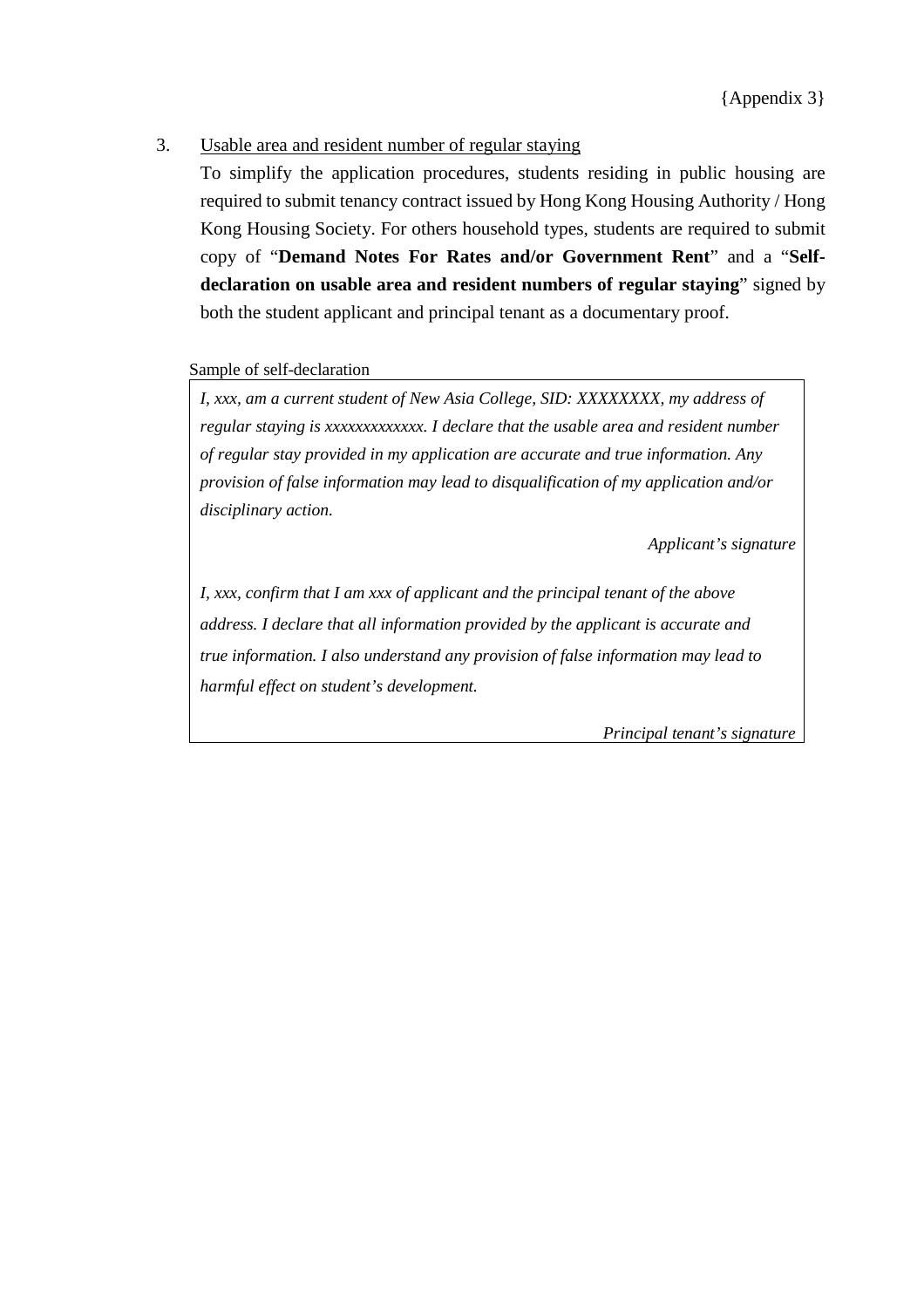## 3. Usable area and resident number of regular staying

To simplify the application procedures, students residing in public housing are required to submit tenancy contract issued by Hong Kong Housing Authority / Hong Kong Housing Society. For others household types, students are required to submit copy of "**Demand Notes For Rates and/or Government Rent**" and a "**Selfdeclaration on usable area and resident numbers of regular staying**" signed by both the student applicant and principal tenant as a documentary proof.

Sample of self-declaration

*I, xxx, am a current student of New Asia College, SID: XXXXXXXX, my address of regular staying is xxxxxxxxxxxxx. I declare that the usable area and resident number of regular stay provided in my application are accurate and true information. Any provision of false information may lead to disqualification of my application and/or disciplinary action.*

*Applicant's signature*

*I, xxx, confirm that I am xxx of applicant and the principal tenant of the above address. I declare that all information provided by the applicant is accurate and true information. I also understand any provision of false information may lead to harmful effect on student's development.*

*Principal tenant's signature*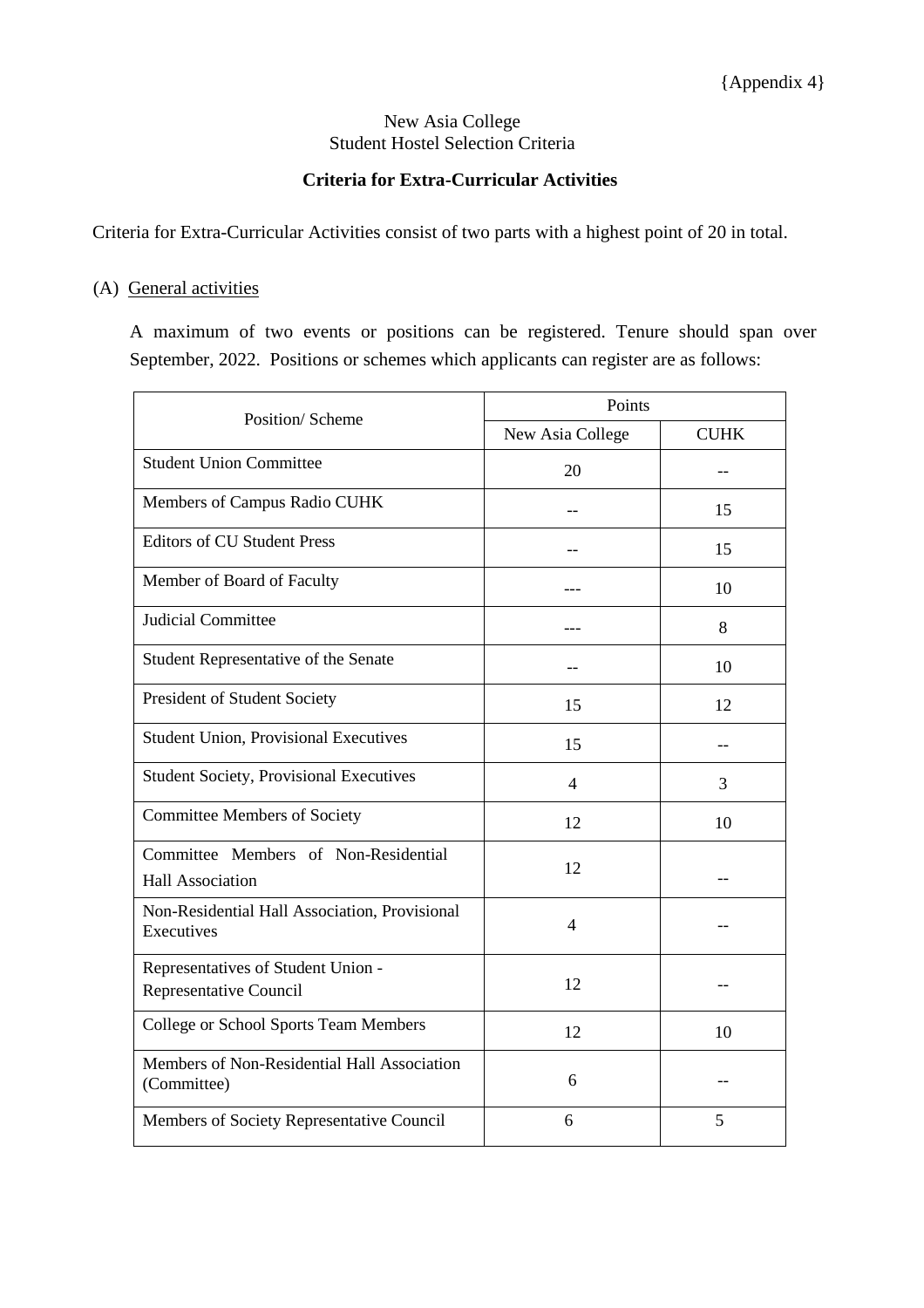### New Asia College Student Hostel Selection Criteria

### **Criteria for Extra-Curricular Activities**

Criteria for Extra-Curricular Activities consist of two parts with a highest point of 20 in total.

## (A) General activities

A maximum of two events or positions can be registered. Tenure should span over September, 2022. Positions or schemes which applicants can register are as follows:

| Position/ Scheme                                                | Points                   |             |  |
|-----------------------------------------------------------------|--------------------------|-------------|--|
|                                                                 | New Asia College         | <b>CUHK</b> |  |
| <b>Student Union Committee</b>                                  | 20                       |             |  |
| Members of Campus Radio CUHK                                    |                          | 15          |  |
| <b>Editors of CU Student Press</b>                              |                          | 15          |  |
| Member of Board of Faculty                                      |                          | 10          |  |
| <b>Judicial Committee</b>                                       |                          | 8           |  |
| Student Representative of the Senate                            |                          | 10          |  |
| President of Student Society                                    | 15                       | 12          |  |
| <b>Student Union, Provisional Executives</b>                    | 15                       |             |  |
| <b>Student Society, Provisional Executives</b>                  | $\overline{\mathcal{A}}$ | 3           |  |
| <b>Committee Members of Society</b>                             | 12                       | 10          |  |
| Committee Members of Non-Residential<br><b>Hall Association</b> | 12                       |             |  |
| Non-Residential Hall Association, Provisional<br>Executives     | 4                        |             |  |
| Representatives of Student Union -<br>Representative Council    | 12                       |             |  |
| <b>College or School Sports Team Members</b>                    | 12                       | 10          |  |
| Members of Non-Residential Hall Association<br>(Committee)      | 6                        |             |  |
| Members of Society Representative Council                       | 6                        | 5           |  |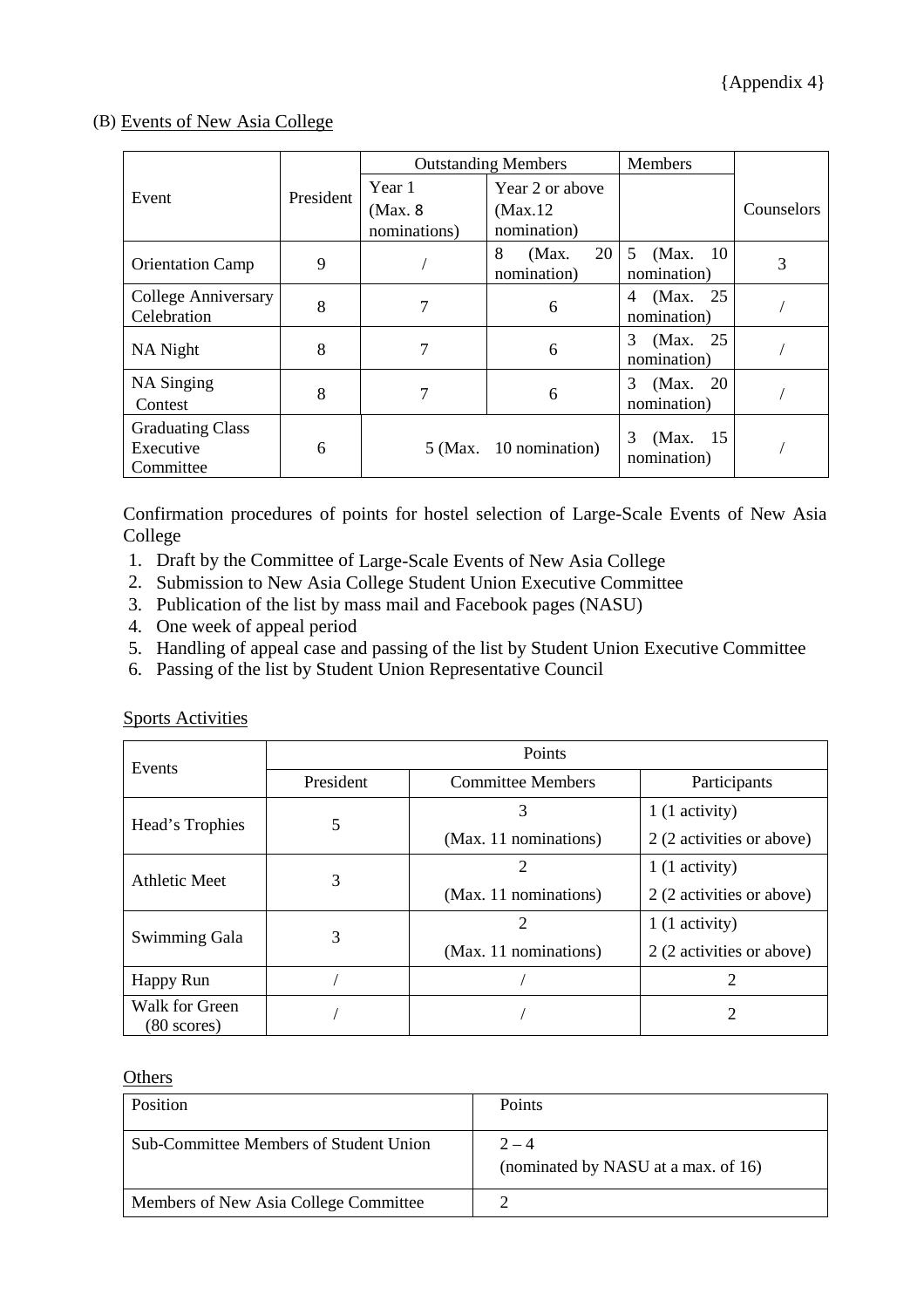### (B) Events of New Asia College

|                                                   |           | <b>Outstanding Members</b>         |                                            | <b>Members</b>                |            |
|---------------------------------------------------|-----------|------------------------------------|--------------------------------------------|-------------------------------|------------|
| Event                                             | President | Year 1<br>(Max. 8)<br>nominations) | Year 2 or above<br>(Max.12)<br>nomination) |                               | Counselors |
| <b>Orientation Camp</b>                           | 9         |                                    | 20<br>8<br>(Max.<br>nomination)            | 5<br>(Max. 10)<br>nomination) | 3          |
| College Anniversary<br>Celebration                | 8         | 7                                  | 6                                          | (Max. 25)<br>4<br>nomination) |            |
| NA Night                                          | 8         | 7                                  | 6                                          | (Max. 25)<br>3<br>nomination) |            |
| NA Singing<br>Contest                             | 8         | 7                                  | 6                                          | (Max. 20)<br>3<br>nomination) |            |
| <b>Graduating Class</b><br>Executive<br>Committee | 6         |                                    | 5 (Max. 10 nomination)                     | 3<br>(Max. 15)<br>nomination) |            |

Confirmation procedures of points for hostel selection of Large-Scale Events of New Asia College

- 1. Draft by the Committee of Large-Scale Events of New Asia College
- 2. Submission to New Asia College Student Union Executive Committee
- 3. Publication of the list by mass mail and Facebook pages (NASU)
- 4. One week of appeal period
- 5. Handling of appeal case and passing of the list by Student Union Executive Committee
- 6. Passing of the list by Student Union Representative Council

| Events                                  | Points    |                          |                           |  |
|-----------------------------------------|-----------|--------------------------|---------------------------|--|
|                                         | President | <b>Committee Members</b> |                           |  |
| Head's Trophies                         | 5         | 3                        | 1 (1 activity)            |  |
|                                         |           | (Max. 11 nominations)    | 2 (2 activities or above) |  |
| Athletic Meet                           | 3         | 2                        | 1 (1 activity)            |  |
|                                         |           | (Max. 11 nominations)    | 2 (2 activities or above) |  |
|                                         | 3         | 2                        | 1 (1 activity)            |  |
| Swimming Gala                           |           | (Max. 11 nominations)    | 2 (2 activities or above) |  |
| Happy Run                               |           |                          | $\overline{2}$            |  |
| Walk for Green<br>$(80 \text{ scores})$ |           |                          | 2                         |  |

Sports Activities

**Others** 

| <b>Position</b>                        | <b>Points</b>                                  |
|----------------------------------------|------------------------------------------------|
| Sub-Committee Members of Student Union | $2 - 4$<br>(nominated by NASU at a max. of 16) |
| Members of New Asia College Committee  |                                                |